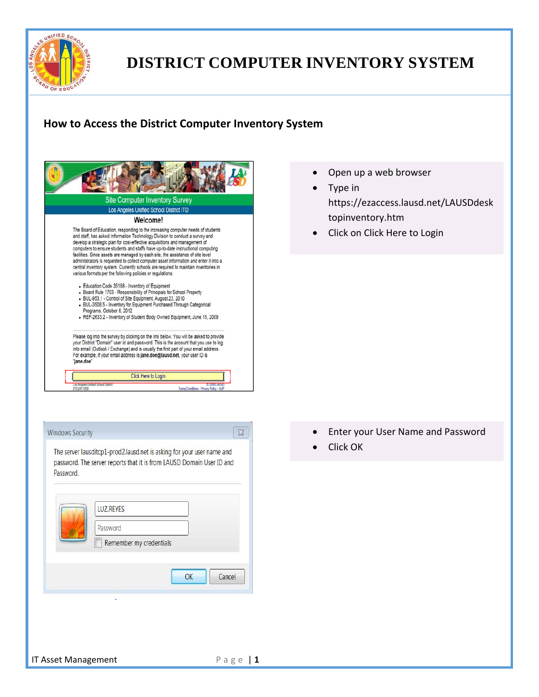

#### **How to Access the District Computer Inventory System**





- Open up a web browser
- Type in https://ezaccess.lausd.net/LAUSDdesk topinventory.htm
- Click on Click Here to Login

- Enter your User Name and Password
- Click OK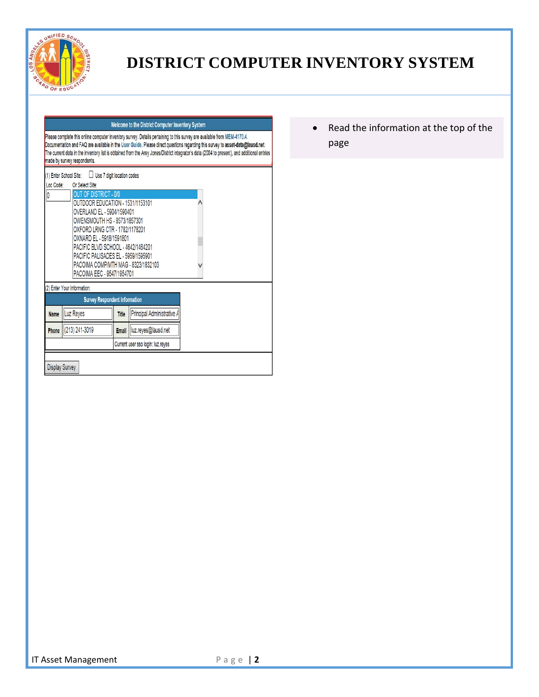

#### Welcome to the District Computer Inventory System

Please complete this online computer inventory survey. Details pertaining to this survey are available from MEM-4170.4. Documentation and FAQ are available in the User Guide. Please direct questions regarding this survey to asset-data@lausd.net.<br>The current data in the inventory list is obtained from the Arey Jones/District integrator's dat made by survey respondents.

|                                                              | <b>OUT OF DISTRICT - 0/0</b><br>OUTDOOR EDUCATION - 1531/1153101<br>OVERLAND EL - 5904/1590401<br>OWENSMOUTH HS - 8573/1857301<br>OXFORD LRNG CTR - 1782/1178201<br>OXNARD EL - 5918/1591801<br>PACIFIC BLVD SCHOOL - 4642/1464201 |                                   |                            |  |  |  |
|--------------------------------------------------------------|------------------------------------------------------------------------------------------------------------------------------------------------------------------------------------------------------------------------------------|-----------------------------------|----------------------------|--|--|--|
|                                                              | PACIFIC PALISADES EL - 5959/1595901<br>PACOIMA COMP/MTH MAG - 8323/1832103<br>PACOIMA EEC - 9547/1954701<br>(2) Enter Your Information:                                                                                            |                                   |                            |  |  |  |
|                                                              | <b>Survey Respondent Information</b>                                                                                                                                                                                               |                                   |                            |  |  |  |
| <b>Name</b>                                                  | Luz Reyes                                                                                                                                                                                                                          | <b>Title</b>                      | Principal Administrative A |  |  |  |
| $  (213) 241 - 3019$<br>Email   luz.reyes@lausd.net<br>Phone |                                                                                                                                                                                                                                    |                                   |                            |  |  |  |
|                                                              |                                                                                                                                                                                                                                    | Current user sso login: luz.reyes |                            |  |  |  |

 Read the information at the top of the page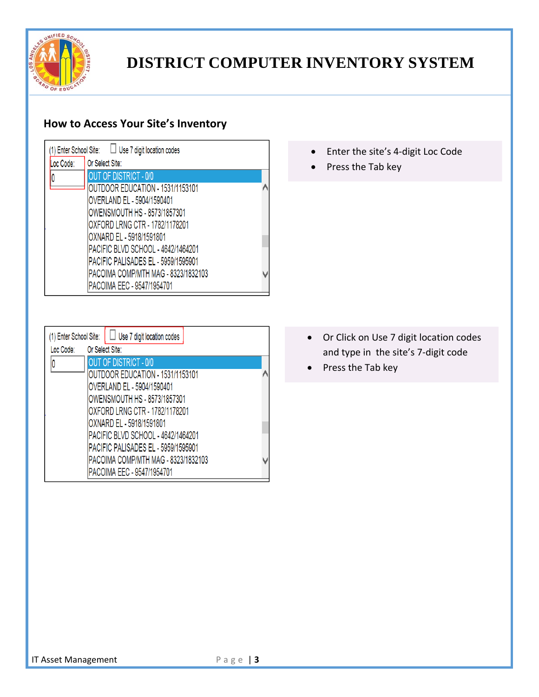

### **How to Access Your Site's Inventory**

| Loc Code: | Or Select Site:                     |  |
|-----------|-------------------------------------|--|
|           | <b>OUT OF DISTRICT - 0/0</b>        |  |
|           | OUTDOOR EDUCATION - 1531/1153101    |  |
|           | OVERLAND EL - 5904/1590401          |  |
|           | OWENSMOUTH HS - 8573/1857301        |  |
|           | OXFORD LRNG CTR - 1782/1178201      |  |
|           | OXNARD EL - 5918/1591801            |  |
|           | PACIFIC BLVD SCHOOL - 4642/1464201  |  |
|           | PACIFIC PALISADES EL - 5959/1595901 |  |
|           | PACOIMA COMP/MTH MAG - 8323/1832103 |  |
|           | PACOIMA EEC - 9547/1954701          |  |

- Enter the site's 4-digit Loc Code
- Press the Tab key

| Or Select Site:<br><b>OUT OF DISTRICT - 0/0</b> |                                                                                                                                                                                                                                                     |
|-------------------------------------------------|-----------------------------------------------------------------------------------------------------------------------------------------------------------------------------------------------------------------------------------------------------|
|                                                 |                                                                                                                                                                                                                                                     |
|                                                 |                                                                                                                                                                                                                                                     |
| OUTDOOR EDUCATION - 1531/1153101                |                                                                                                                                                                                                                                                     |
| OVERLAND EL - 5904/1590401                      |                                                                                                                                                                                                                                                     |
|                                                 |                                                                                                                                                                                                                                                     |
|                                                 |                                                                                                                                                                                                                                                     |
|                                                 |                                                                                                                                                                                                                                                     |
|                                                 |                                                                                                                                                                                                                                                     |
|                                                 |                                                                                                                                                                                                                                                     |
|                                                 |                                                                                                                                                                                                                                                     |
|                                                 |                                                                                                                                                                                                                                                     |
|                                                 | OWENSMOUTH HS - 8573/1857301<br>OXFORD LRNG CTR - 1782/1178201<br>OXNARD EL - 5918/1591801<br>PACIFIC BLVD SCHOOL - 4642/1464201<br><b>PACIFIC PALISADES EL - 5959/1595901</b><br>PACOIMA COMP/MTH MAG - 8323/1832103<br>PACOIMA EEC - 9547/1954701 |

- Or Click on Use 7 digit location codes and type in the site's 7‐digit code
- Press the Tab key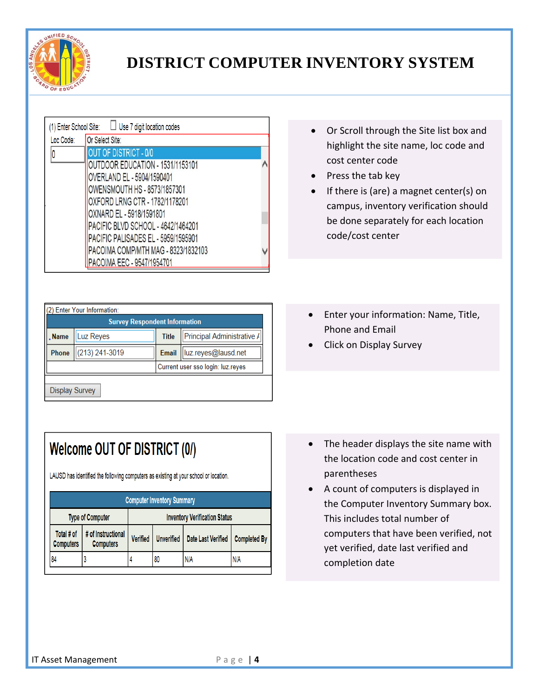

| OUTDOOR EDUCATION - 1531/1153101 |                                                                                                                                                                                                                                                                                                                                   |
|----------------------------------|-----------------------------------------------------------------------------------------------------------------------------------------------------------------------------------------------------------------------------------------------------------------------------------------------------------------------------------|
| OVERLAND EL - 5904/1590401       |                                                                                                                                                                                                                                                                                                                                   |
|                                  |                                                                                                                                                                                                                                                                                                                                   |
|                                  |                                                                                                                                                                                                                                                                                                                                   |
|                                  |                                                                                                                                                                                                                                                                                                                                   |
|                                  |                                                                                                                                                                                                                                                                                                                                   |
|                                  |                                                                                                                                                                                                                                                                                                                                   |
|                                  |                                                                                                                                                                                                                                                                                                                                   |
| PACOIMA EEC - 9547/1954701       |                                                                                                                                                                                                                                                                                                                                   |
|                                  | $\Box$ Use 7 digit location codes<br>(1) Enter School Site:<br>Or Select Site:<br><b>OUT OF DISTRICT - 0/0</b><br>OWENSMOUTH HS - 8573/1857301<br>OXFORD LRNG CTR - 1782/1178201<br>OXNARD EL - 5918/1591801<br> PACIFIC BLVD SCHOOL - 4642/1464201<br>PACIFIC PALISADES EL - 5959/1595901<br>PACOIMA COMP/MTH MAG - 8323/1832103 |

| $\bullet$ | Or Scroll through the Site list box and |
|-----------|-----------------------------------------|
|           | highlight the site name, loc code and   |
|           | cost center code                        |

- $\bullet$  Press the tab key
- If there is (are) a magnet center(s) on campus, inventory verification should be done separately for each location code/cost center

| . Name       | Luz Reyes      | <b>Title</b> | Principal Administrative /        |  |
|--------------|----------------|--------------|-----------------------------------|--|
| <b>Phone</b> | (213) 241-3019 |              | Email   luz.reyes@lausd.net       |  |
|              |                |              | Current user sso login: luz.reyes |  |

## Welcome OUT OF DISTRICT (0/)

LAUSD has identified the following computers as existing at your school or location.

| <b>Type of Computer</b>                | <b>Inventory Verification Status</b> |    |                    |                                                 |  |
|----------------------------------------|--------------------------------------|----|--------------------|-------------------------------------------------|--|
| # of Instructional<br><b>Computers</b> | <b>Verified</b>                      |    | Date Last Verified | <b>Completed By</b>                             |  |
|                                        |                                      | 80 | N/A                | N/A                                             |  |
|                                        |                                      |    |                    | <b>Computer Inventory Summary</b><br>Unverified |  |

- Enter your information: Name, Title, Phone and Email
- Click on Display Survey

- The header displays the site name with the location code and cost center in parentheses
- A count of computers is displayed in the Computer Inventory Summary box. This includes total number of computers that have been verified, not yet verified, date last verified and completion date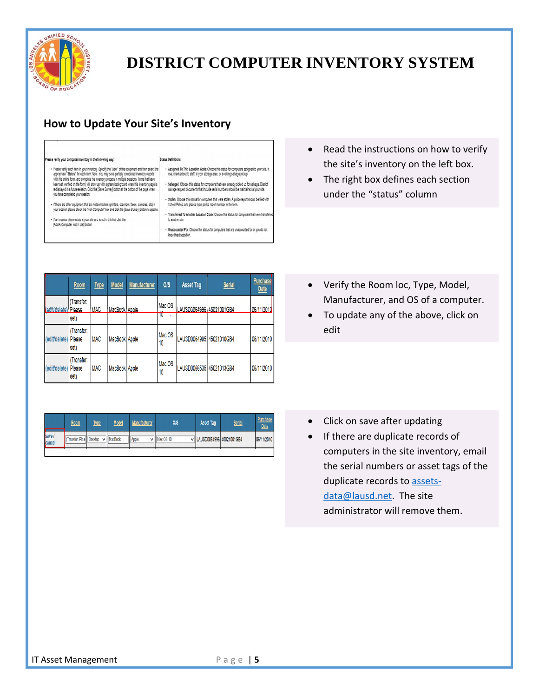

### **How to Update Your Site's Inventory**

#### ase verify your computer inventory in the following way:

Status Definitions

- Piesse rently each item in your inventory. Specify the "User" of the equipment and then select the<br>appropriate "Statuts" for each item Noter, You may seve gentlely completed inventory reports<br>with this coller form, and c redisplayed in a future session. Click the [Save Survey] button at the bottom of the page when you have completed your session.

· If there are other equipment that are not computers (printers, scanners, faxes, cameras, etc) in<br>your location please check the "Non-Computer" box and click the [Save Survey] button to update.

. If an inventory item exists at your site and is not in this list, click the [Add A Computer Not In List] button

· Assigned To This Location Code: Choose this status for computers assigned to your site, in<br>use, checked out to staff, in your storage area, or awaiting salvage pickup.

- . Salvaged. Choose this status for computers that were already picked up for salvage. District salvage request documents that include serial numbers should be maintained at your site. · Stolen: Choose this status for computers that were stolen. A police report should be filed with
- School Police, and please input police report number in the form

· Transferred To Another Location Code: Choose this status for computers that were transfer to another site.

. Unaccounted For: Choose this status for computers that are unaccounted for or you do not 

|                       | Room                        | <b>Type</b> | <b>Model</b>  | <b>Manufacturer</b> | O/S          | <b>Asset Tag</b>         | <b>Serial</b> | <b>Purchase</b><br><b>Date</b> |
|-----------------------|-----------------------------|-------------|---------------|---------------------|--------------|--------------------------|---------------|--------------------------------|
| edit/delete)   Please | Transfer:<br>set)           | <b>IMAC</b> | MacBook Apple |                     | Mac OS<br>₩  | LAUSD0064996 45021001GB4 |               | 06/11/2010                     |
| (edit/delete)         | Transfer:<br>Please<br>set) | <b>MAC</b>  | MacBook Apple |                     | Mac OS<br>10 | LAUSD0064995 45021010GB4 |               | 06/11/2010                     |
| (edit/delete)         | Transfer:<br>Please<br>set) | <b>MAC</b>  | MacBook Apple |                     | Mac OS<br>10 | LAUSD0066535 45021013GB4 |               | 06/11/2010                     |

|                | Room                     | <u>Type</u> | <b>Model</b>      | Manufacturer | <b>OIS</b>          | <b>Asset Tag</b>           | <b>Serial</b> | <b>Purchase</b><br><b>Date</b> |
|----------------|--------------------------|-------------|-------------------|--------------|---------------------|----------------------------|---------------|--------------------------------|
| save<br>cancel | Transfer: Plea   Desktop |             | $\vee$    MacBook | Apple        | $\vee$    Mac OS 10 | V LAUSD0064996 45021001GB4 |               | 06/11/2010                     |
|                |                          |             |                   |              |                     |                            |               |                                |

- Read the instructions on how to verify the site's inventory on the left box.
- The right box defines each section under the "status" column

- Verify the Room loc, Type, Model, Manufacturer, and OS of a computer.
- To update any of the above, click on edit

- Click on save after updating
- If there are duplicate records of computers in the site inventory, email the serial numbers or asset tags of the duplicate records to assetsdata@lausd.net. The site administrator will remove them.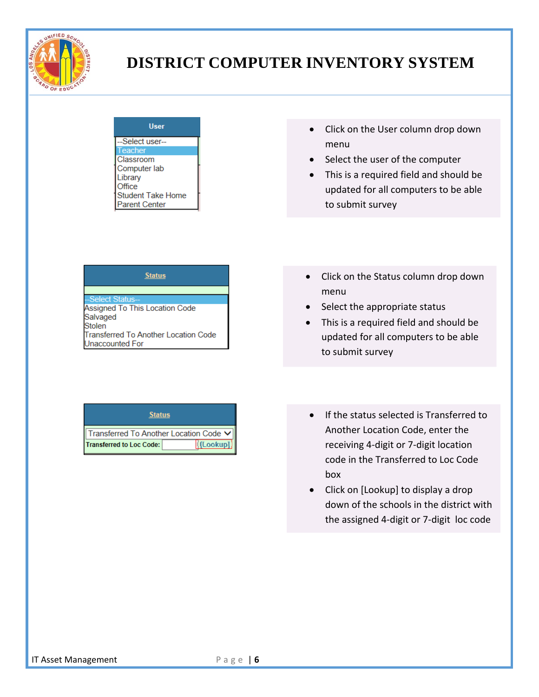

| User                     |  |
|--------------------------|--|
| --Select user--          |  |
| <b>Teacher</b>           |  |
| Classroom                |  |
| Computer lab             |  |
| Library                  |  |
| Office                   |  |
| <b>Student Take Home</b> |  |
| <b>Parent Center</b>     |  |

- Click on the User column drop down menu
- Select the user of the computer
- This is a required field and should be updated for all computers to be able to submit survey

| <b>Status</b> |
|---------------|
|               |

Select Status

Assigned To This Location Code Salvaged **Stolen** Transferred To Another Location Code Unaccounted For

#### • Click on the Status column drop down menu

- Select the appropriate status
- This is a required field and should be updated for all computers to be able to submit survey

#### **Status**

Transferred To Another Location Code V **Transferred to Loc Code: [Cookup]** 

- **•** If the status selected is Transferred to Another Location Code, enter the receiving 4‐digit or 7‐digit location code in the Transferred to Loc Code box
- Click on [Lookup] to display a drop down of the schools in the district with the assigned 4‐digit or 7‐digit loc code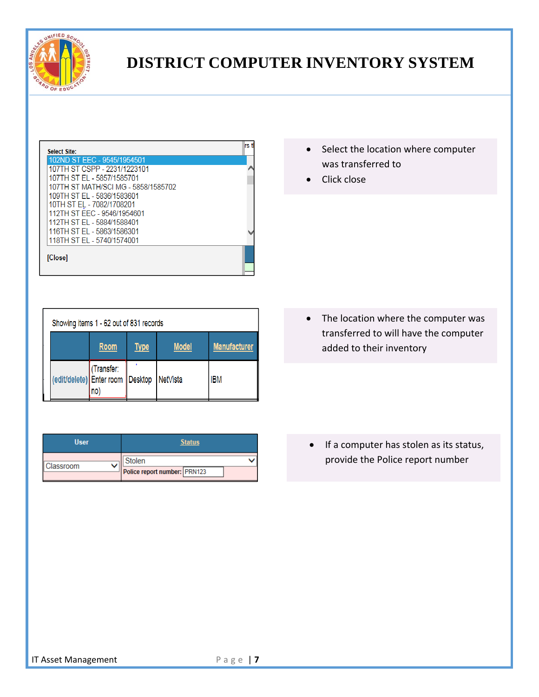

| <b>Select Site:</b>                 | rs ti |
|-------------------------------------|-------|
| 102ND ST EEC - 9545/1954501         |       |
| 107TH ST CSPP - 2231/1223101        |       |
| 107TH ST FL - 5857/1585701          |       |
| 107TH ST MATH/SCI MG - 5858/1585702 |       |
| 109TH ST FL - 5836/1583601          |       |
| 10TH ST EL - 7082/1708201           |       |
| 112TH ST EEC - 9546/1954601         |       |
| 112TH ST EL - 5884/1588401          |       |
| 116TH ST EL - 5863/1586301          |       |
| 118TH ST EL - 5740/1574001          |       |
| [Close]                             |       |
|                                     |       |

|                                                       | Showing items 1 - 62 out of 831 records |              |                     |  |  |  |
|-------------------------------------------------------|-----------------------------------------|--------------|---------------------|--|--|--|
| <b>Room</b>                                           | <b>Type</b>                             | <b>Model</b> | <b>Manufacturer</b> |  |  |  |
| (Transfer:<br>(edit/delete) Enter room Desktop<br>no) |                                         | NetVista     | IBM                 |  |  |  |

| <b>User</b> | <b>Status</b>                |  |  |
|-------------|------------------------------|--|--|
| Classroom   | <b>Stolen</b>                |  |  |
|             | Police report number: PRN123 |  |  |

- Select the location where computer was transferred to
- Click close

• The location where the computer was transferred to will have the computer added to their inventory

• If a computer has stolen as its status, provide the Police report number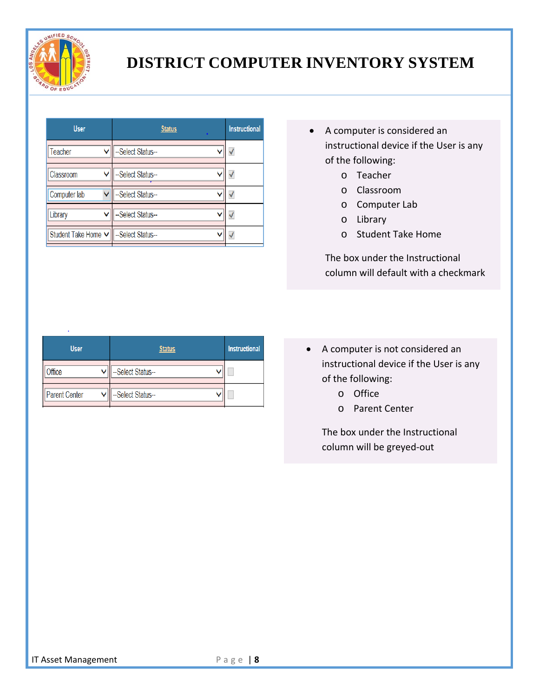

| <b>User</b>         |              | <b>Status</b>     | <b>Instructional</b> |
|---------------------|--------------|-------------------|----------------------|
| Teacher             |              | --Select Status-- |                      |
| Classroom           | v            | --Select Status-- |                      |
| Computer lab        | $\checkmark$ | --Select Status-- |                      |
| Library             | v            | --Select Status-- | √                    |
| Student Take Home V |              | --Select Status-- |                      |

- A computer is considered an instructional device if the User is any of the following:
	- o Teacher
	- o Classroom
	- o Computer Lab
	- o Library
	- o Student Take Home

The box under the Instructional column will default with a checkmark

| <b>User</b>   | <b>Status</b>     | <b>Instructional</b> |
|---------------|-------------------|----------------------|
| Office        | --Select Status-- |                      |
| Parent Center | --Select Status-- |                      |

 A computer is not considered an instructional device if the User is any of the following:

- o Office
- o Parent Center

The box under the Instructional column will be greyed‐out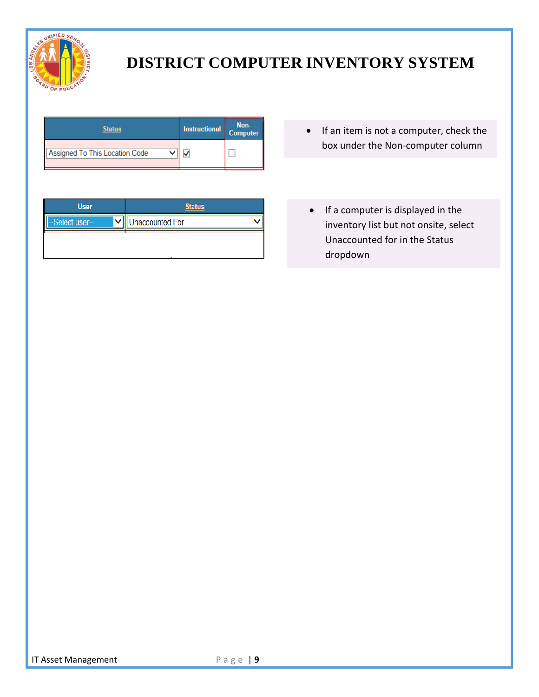

| Status                         | Instructional | Non-<br>Computer |
|--------------------------------|---------------|------------------|
| Assigned To This Location Code |               |                  |

• If an item is not a computer, check the box under the Non‐computer column

| <b>User</b>     | <b>Status</b>   |  |
|-----------------|-----------------|--|
| --Select user-- | Unaccounted For |  |
|                 |                 |  |
|                 |                 |  |

• If a computer is displayed in the inventory list but not onsite, select Unaccounted for in the Status dropdown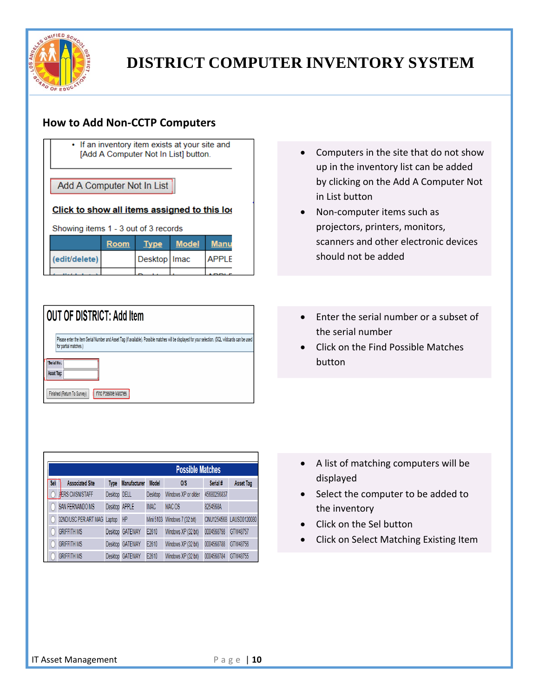

#### **How to Add Non‐CCTP Computers**

| • If an inventory item exists at your site and |
|------------------------------------------------|
| [Add A Computer Not In List] button.           |

Add A Computer Not In List

#### Click to show all items assigned to this loo

Showing items 1 - 3 out of 3 records

|               | Room | <b>v</b> pe    | Model |              |
|---------------|------|----------------|-------|--------------|
| (edit/delete) |      | Desktop   Imac |       | <b>APPIF</b> |
|               |      |                |       |              |

|              | Please enter the item Serial Number and Asset Tag (if available). Possible matches will be displayed for your selection. (SQL wildcards can be used |
|--------------|-----------------------------------------------------------------------------------------------------------------------------------------------------|
|              | for partial matches.)                                                                                                                               |
|              |                                                                                                                                                     |
| "Serial No.: |                                                                                                                                                     |
| Asset Tag:   |                                                                                                                                                     |

|     |                        |               |                     |              | <b>Possible Matches</b>      |             |                  |
|-----|------------------------|---------------|---------------------|--------------|------------------------------|-------------|------------------|
| Sel | <b>Associated Site</b> | <b>Type</b>   | <b>Manufacturer</b> | <b>Model</b> | O/S                          | Serial #    | <b>Asset Tag</b> |
|     | <b>PERS CMSN/STAFF</b> | Desktop DELL  |                     | Desktop      | Windows XP or older          | 45680256837 |                  |
|     | <b>SAN FERNANDO MS</b> | Desktop APPLE |                     | <b>IMAC</b>  | MAC OS                       | 8254568A    |                  |
|     | 32ND/USC PER ART MAG   | Laptop        | HP                  |              | Mini 5103 Windows 7 (32 bit) | CNU1254568  | LAUSD0120080     |
|     | <b>GRIFFITH MS</b>     |               | Desktop GATEWAY     | E2610        | Windows XP (32 bit)          | 0004568798  | GTW48757         |
|     | <b>GRIFFITH MS</b>     |               | Desktop GATEWAY     | E2610        | Windows XP (32 bit)          | 0004568788  | GTW48756         |
|     | <b>GRIFFITH MS</b>     |               | Desktop GATEWAY     | E2610        | Windows XP (32 bit)          | 0004568784  | GTW48755         |

- Computers in the site that do not show up in the inventory list can be added by clicking on the Add A Computer Not in List button
- Non-computer items such as projectors, printers, monitors, scanners and other electronic devices should not be added
- Enter the serial number or a subset of the serial number
- Click on the Find Possible Matches button

- A list of matching computers will be displayed
- Select the computer to be added to the inventory
- Click on the Sel button
- Click on Select Matching Existing Item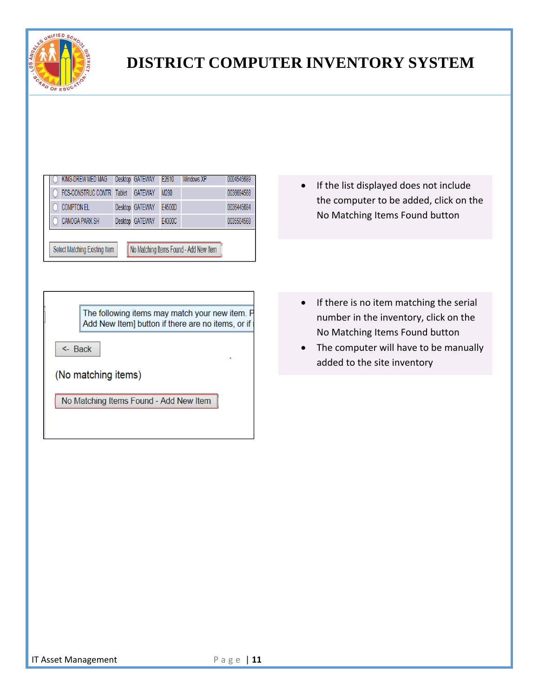

| KING-DREW MED MAG     |        | Desktop GATEWAY | E2610  | Windows XP | 0004545689 |
|-----------------------|--------|-----------------|--------|------------|------------|
| FCS-CONSTRUC CONTR    | Tablet | <b>GATEWAY</b>  | M280   |            | 0036694568 |
| <b>COMPTON EL</b>     |        | Desktop GATEWAY | E4500D |            | 0036445684 |
| <b>CANOGA PARK SH</b> |        | Desktop GATEWAY | E4300C |            | 0035504568 |

• If the list displayed does not include the computer to be added, click on the No Matching Items Found button

The following items may match your new item. P Add New Item] button if there are no items, or if

 $\leftarrow$  Back

(No matching items)

No Matching Items Found - Add New Item

<u> El component de la componentat de la componentat de la componentat de la componentat de la componentat de la c</u>

- If there is no item matching the serial number in the inventory, click on the No Matching Items Found button
- The computer will have to be manually added to the site inventory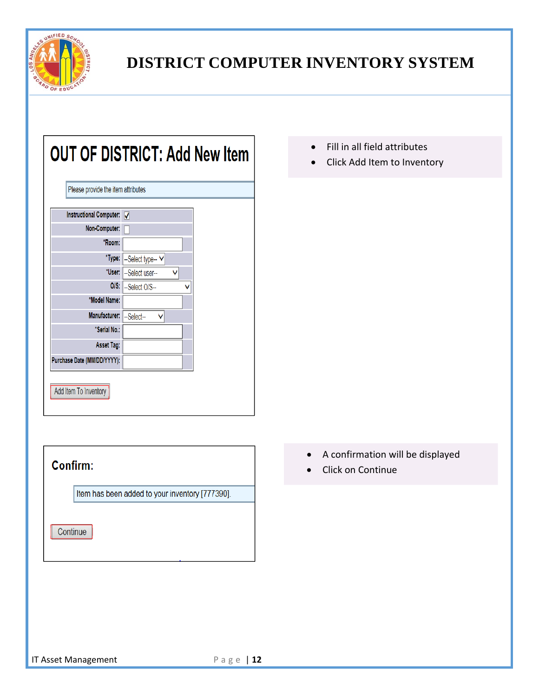

| Please provide the item attributes |                   |
|------------------------------------|-------------------|
| <b>Instructional Computer:</b>     | ⊽                 |
| Non-Computer:                      |                   |
| *Room:                             |                   |
| *Type:                             | --Select type-- V |
| *User:                             | --Select user--   |
| $O/S$ :                            | --Select O/S--    |
| *Model Name:                       |                   |
| Manufacturer:                      | --Select--<br>v   |
| *Serial No.:                       |                   |
| Asset Tag:                         |                   |
| Purchase Date (MM/DD/YYYY):        |                   |

| Confirm: |                                                 |
|----------|-------------------------------------------------|
|          | Item has been added to your inventory [777390]. |
| Continue |                                                 |

- Fill in all field attributes
- Click Add Item to Inventory

- A confirmation will be displayed
- Click on Continue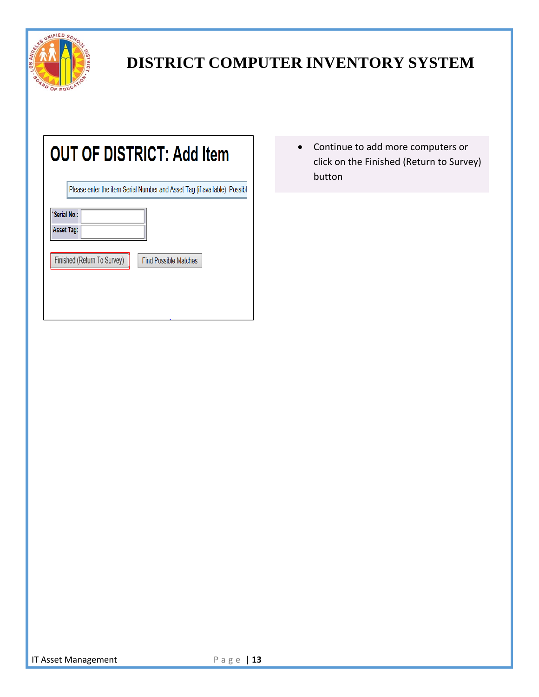

|              | Please enter the item Serial Number and Asset Tag (if available). Possibl |
|--------------|---------------------------------------------------------------------------|
| *Serial No.: |                                                                           |
| Asset Tag:   |                                                                           |
|              | Finished (Return To Survey)<br><b>Find Possible Matches</b>               |

 Continue to add more computers or click on the Finished (Return to Survey) button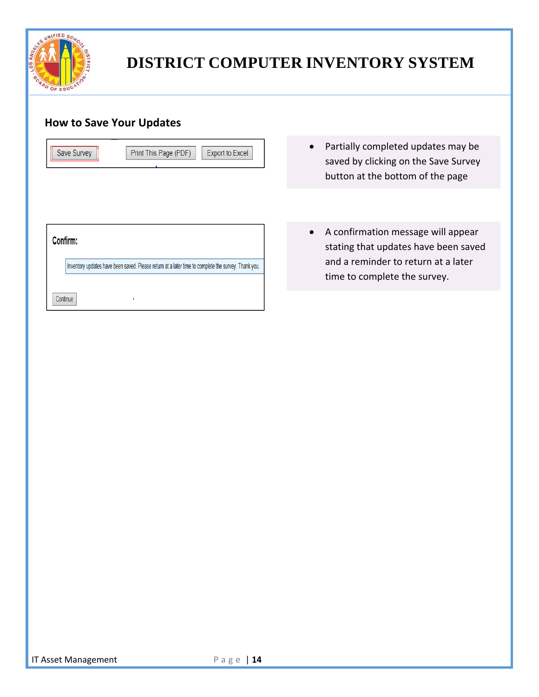

#### **How to Save Your Updates**

| <b>Save Survey</b> | Print This Page (PDF) | Export to Excel |
|--------------------|-----------------------|-----------------|
|--------------------|-----------------------|-----------------|

- Confirm: Inventory updates have been saved. Please return at a later time to complete the survey. Thank you.
- Partially completed updates may be saved by clicking on the Save Survey button at the bottom of the page
- A confirmation message will appear stating that updates have been saved and a reminder to return at a later time to complete the survey.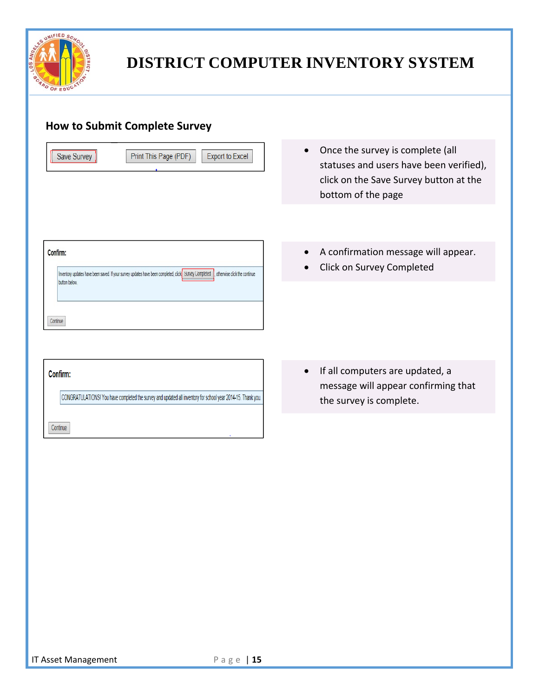

#### **How to Submit Complete Survey**

|               | <b>Export to Excel</b><br>Print This Page (PDF)                                                                                      |
|---------------|--------------------------------------------------------------------------------------------------------------------------------------|
|               |                                                                                                                                      |
|               |                                                                                                                                      |
|               |                                                                                                                                      |
|               |                                                                                                                                      |
| Confirm:      |                                                                                                                                      |
| button below. | Inventory updates have been saved. If your survey updates have been completed, click Survey Completed   otherwise click the continue |
|               |                                                                                                                                      |

- Once the survey is complete (all statuses and users have been verified), click on the Save Survey button at the bottom of the page
- A confirmation message will appear.
- Click on Survey Completed

• If all computers are updated, a message will appear confirming that the survey is complete.

Confirm:

Continue

CONGRATULATIONS! You have completed the survey and updated all inventory for school year 2014-15. Thank you.

<u> El seu de la construcción de la construcción de la construcción de la construcción de la construcción de la c</u>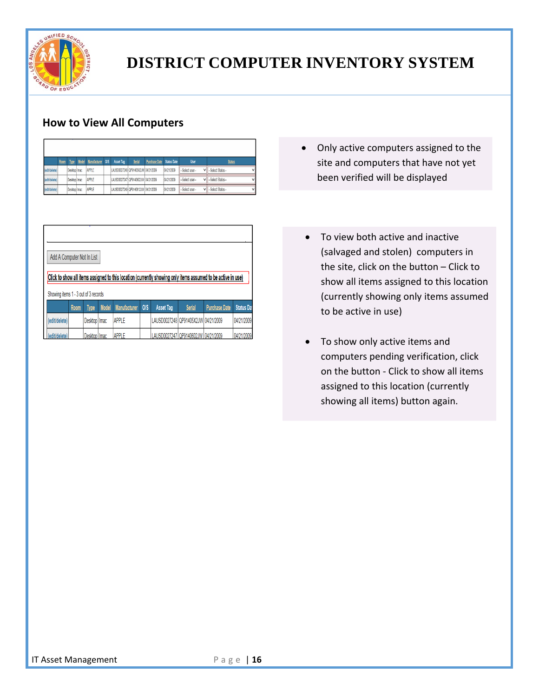

### **How to View All Computers**

|               | Room | <b>Type</b>         | Model Manufacturer | <b>OIS</b> | Asset Tag                           | <b>Serial</b> | Purchase Date Status Date |            | <b>User</b>        | <b>Status</b>   |
|---------------|------|---------------------|--------------------|------------|-------------------------------------|---------------|---------------------------|------------|--------------------|-----------------|
| (edit/delete) |      | Desktop Imac        | <b>APPLE</b>       |            | LAUSD0027248 QP91405X2JW 04/21/2009 |               |                           | 04/21/2009 | -Select user-      | -Select Status- |
| (edit/delete) |      | <b>Desktop Imac</b> | <b>APPLE</b>       |            | LAUSD0027247 QP9140602JW 04/21/2009 |               |                           | 04/21/2009 | -Select user-<br>v | -Select Status- |
| (edit/delete) |      | Desktop Imac        | APPLE              |            | LAUSD0027249 QP9140612JW 04/21/2009 |               |                           | 04/21/2009 | -Select user-<br>v | -Select Status- |

|                                      |      | Add A Computer Not In List |              |                     |            |                                     |               |                                                                                                              |                   |
|--------------------------------------|------|----------------------------|--------------|---------------------|------------|-------------------------------------|---------------|--------------------------------------------------------------------------------------------------------------|-------------------|
|                                      |      |                            |              |                     |            |                                     |               |                                                                                                              |                   |
|                                      |      |                            |              |                     |            |                                     |               | Click to show all items assigned to this location (currently showing only items assumed to be active in use) |                   |
|                                      |      |                            |              |                     |            |                                     |               |                                                                                                              |                   |
|                                      |      |                            |              |                     |            |                                     |               |                                                                                                              |                   |
| Showing items 1 - 3 out of 3 records |      |                            |              |                     |            |                                     |               |                                                                                                              |                   |
|                                      |      |                            |              |                     | <b>OIS</b> |                                     |               |                                                                                                              | <b>Status Dat</b> |
|                                      | Room | <b>Type</b>                | <b>Model</b> | <b>Manufacturer</b> |            | <b>Asset Tag</b>                    | <b>Serial</b> | <b>Purchase Date</b>                                                                                         |                   |
| (edit/delete)                        |      | Desktop   Imac             |              | <b>APPIF</b>        |            | LAUSD0027248 QP91405X2JW 04/21/2009 |               |                                                                                                              | 04/21/2009        |

- Only active computers assigned to the site and computers that have not yet been verified will be displayed
- To view both active and inactive (salvaged and stolen) computers in the site, click on the button – Click to show all items assigned to this location (currently showing only items assumed to be active in use)
- To show only active items and computers pending verification, click on the button ‐ Click to show all items assigned to this location (currently showing all items) button again.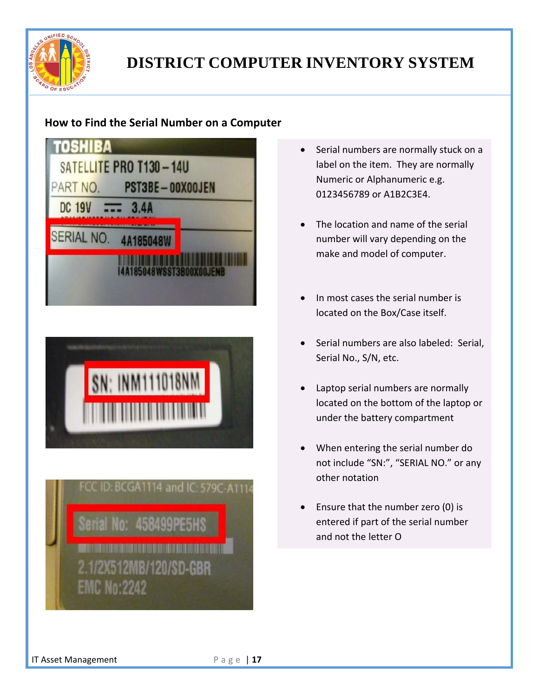

#### **How to Find the Serial Number on a Computer**

|                           | SATELLITE PRO T130-14U  |  |
|---------------------------|-------------------------|--|
| PART NO.<br><b>DC 19V</b> | PST3BE-00X00JEN<br>3.4A |  |
|                           |                         |  |
| <b>SERIAL NO.</b>         | 4A185048                |  |
|                           | 118WSST2PNN             |  |





- Serial numbers are normally stuck on a label on the item. They are normally Numeric or Alphanumeric e.g. 0123456789 or A1B2C3E4.
- The location and name of the serial number will vary depending on the make and model of computer.
- In most cases the serial number is located on the Box/Case itself.
- Serial numbers are also labeled: Serial, Serial No., S/N, etc.
- Laptop serial numbers are normally located on the bottom of the laptop or under the battery compartment
- When entering the serial number do not include "SN:", "SERIAL NO." or any other notation
- Ensure that the number zero (0) is entered if part of the serial number and not the letter O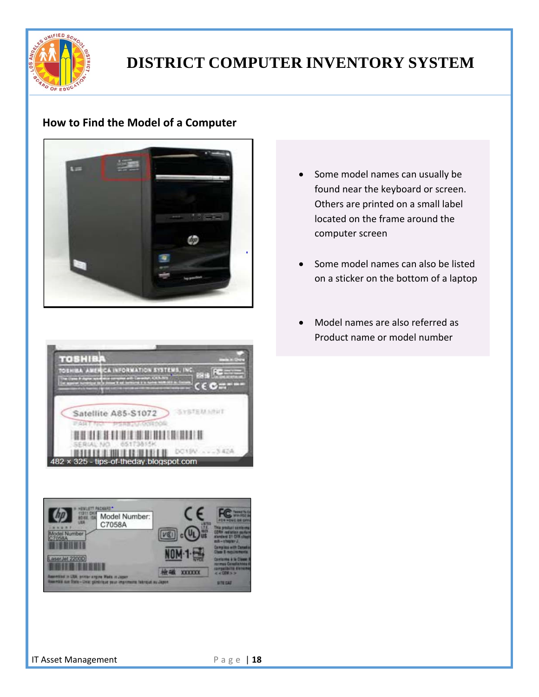

#### **How to Find the Model of a Computer**



- Some model names can usually be found near the keyboard or screen. Others are printed on a small label located on the frame around the computer screen
- Some model names can also be listed on a sticker on the bottom of a laptop
- Model names are also referred as Product name or model number